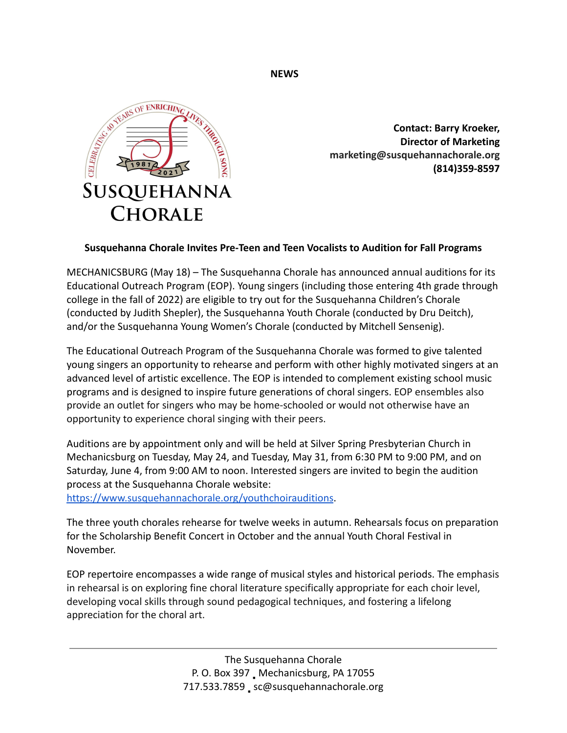**NEWS**



**Contact: Barry Kroeker, Director of Marketing marketing@susquehannachorale.org (814)359-8597**

## **Susquehanna Chorale Invites Pre-Teen and Teen Vocalists to Audition for Fall Programs**

MECHANICSBURG (May 18) – The Susquehanna Chorale has announced annual auditions for its Educational Outreach Program (EOP). Young singers (including those entering 4th grade through college in the fall of 2022) are eligible to try out for the Susquehanna Children's Chorale (conducted by Judith Shepler), the Susquehanna Youth Chorale (conducted by Dru Deitch), and/or the Susquehanna Young Women's Chorale (conducted by Mitchell Sensenig).

The Educational Outreach Program of the Susquehanna Chorale was formed to give talented young singers an opportunity to rehearse and perform with other highly motivated singers at an advanced level of artistic excellence. The EOP is intended to complement existing school music programs and is designed to inspire future generations of choral singers. EOP ensembles also provide an outlet for singers who may be home-schooled or would not otherwise have an opportunity to experience choral singing with their peers.

Auditions are by appointment only and will be held at Silver Spring Presbyterian Church in Mechanicsburg on Tuesday, May 24, and Tuesday, May 31, from 6:30 PM to 9:00 PM, and on Saturday, June 4, from 9:00 AM to noon. Interested singers are invited to begin the audition process at the Susquehanna Chorale website:

<https://www.susquehannachorale.org/youthchoirauditions>.

The three youth chorales rehearse for twelve weeks in autumn. Rehearsals focus on preparation for the Scholarship Benefit Concert in October and the annual Youth Choral Festival in November.

EOP repertoire encompasses a wide range of musical styles and historical periods. The emphasis in rehearsal is on exploring fine choral literature specifically appropriate for each choir level, developing vocal skills through sound pedagogical techniques, and fostering a lifelong appreciation for the choral art.

> The Susquehanna Chorale P. O. Box 397 Mechanicsburg, PA 17055 717.533.7859 \_ sc@susquehannachorale.org